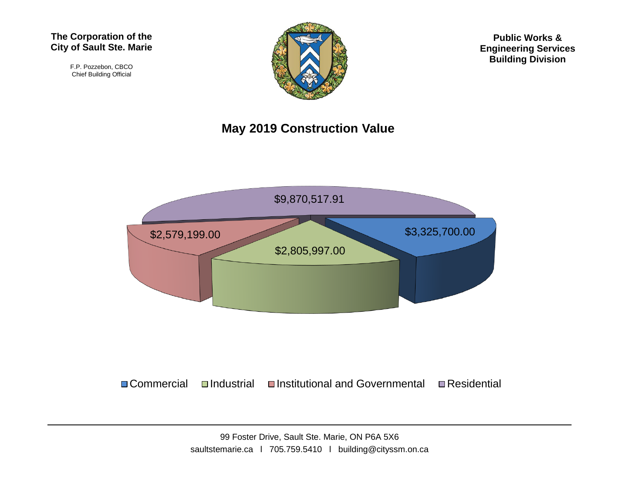#### **The Corporation of the City of Sault Ste. Marie**

F.P. Pozzebon, CBCO Chief Building Official



**Public Works & Engineering Services Building Division**

#### **May 2019 Construction Value**



 $\Box$  Commercial  $\Box$ Industrial  $\Box$ Institutional and Governmental  $\Box$  Residential

99 Foster Drive, Sault Ste. Marie, ON P6A 5X6 saultstemarie.ca | 705.759.5410 | building@cityssm.on.ca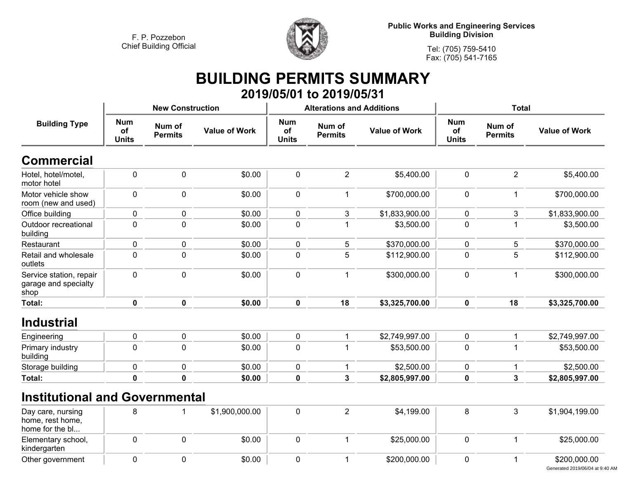

**Public Works and Engineering Services Building Division**

**Tel: (705) 759-5410Fax: (705) 541-7165**

## **BUILDING PERMITS SUMMARY 2019/05/01 to 2019/05/31**

|                                                          |                                  | <b>New Construction</b>  |                      |                                         | <b>Alterations and Additions</b> |                      | <b>Total</b>                     |                          |                      |
|----------------------------------------------------------|----------------------------------|--------------------------|----------------------|-----------------------------------------|----------------------------------|----------------------|----------------------------------|--------------------------|----------------------|
| <b>Building Type</b>                                     | <b>Num</b><br>of<br><b>Units</b> | Num of<br><b>Permits</b> | <b>Value of Work</b> | <b>Num</b><br><b>of</b><br><b>Units</b> | Num of<br><b>Permits</b>         | <b>Value of Work</b> | <b>Num</b><br>of<br><b>Units</b> | Num of<br><b>Permits</b> | <b>Value of Work</b> |
| <b>Commercial</b>                                        |                                  |                          |                      |                                         |                                  |                      |                                  |                          |                      |
| Hotel, hotel/motel,<br>motor hotel                       | $\mathbf 0$                      | $\mathbf 0$              | \$0.00               | $\pmb{0}$                               | $\overline{2}$                   | \$5,400.00           | $\pmb{0}$                        | $\overline{2}$           | \$5,400.00           |
| Motor vehicle show<br>room (new and used)                | $\pmb{0}$                        | $\mathbf 0$              | \$0.00               | $\mathbf 0$                             | 1                                | \$700,000.00         | $\pmb{0}$                        | 1                        | \$700,000.00         |
| Office building                                          | $\mathbf 0$                      | $\mathbf 0$              | \$0.00               | 0                                       | 3                                | \$1,833,900.00       | 0                                | 3                        | \$1,833,900.00       |
| Outdoor recreational<br>building                         | $\pmb{0}$                        | $\mathbf 0$              | \$0.00               | $\mathbf 0$                             |                                  | \$3,500.00           | $\pmb{0}$                        | 1                        | \$3,500.00           |
| Restaurant                                               | $\pmb{0}$                        | 0                        | \$0.00               | $\mathbf 0$                             | 5                                | \$370,000.00         | $\pmb{0}$                        | 5                        | \$370,000.00         |
| Retail and wholesale<br>outlets                          | $\mathbf 0$                      | $\mathbf 0$              | \$0.00               | $\mathbf 0$                             | 5                                | \$112,900.00         | $\mathbf 0$                      | 5                        | \$112,900.00         |
| Service station, repair<br>garage and specialty<br>shop  | $\mathbf 0$                      | $\mathbf 0$              | \$0.00               | $\mathbf 0$                             | 1                                | \$300,000.00         | $\mathbf 0$                      | $\mathbf{1}$             | \$300,000.00         |
| Total:                                                   | $\mathbf 0$                      | $\mathbf 0$              | \$0.00               | $\mathbf 0$                             | 18                               | \$3,325,700.00       | $\mathbf 0$                      | 18                       | \$3,325,700.00       |
| <b>Industrial</b>                                        |                                  |                          |                      |                                         |                                  |                      |                                  |                          |                      |
| Engineering                                              | $\mathbf 0$                      | $\mathbf 0$              | \$0.00               | $\mathbf 0$                             | $\mathbf{1}$                     | \$2,749,997.00       | $\mathbf 0$                      | 1                        | \$2,749,997.00       |
| Primary industry<br>building                             | $\mathbf 0$                      | $\mathbf 0$              | \$0.00               | $\mathbf 0$                             | 1                                | \$53,500.00          | $\mathbf 0$                      | 1                        | \$53,500.00          |
| Storage building                                         | $\mathbf 0$                      | $\mathbf 0$              | \$0.00               | $\mathbf 0$                             |                                  | \$2,500.00           | $\mathbf 0$                      | 1                        | \$2,500.00           |
| Total:                                                   | $\pmb{0}$                        | 0                        | \$0.00               | $\mathbf 0$                             | $\mathbf{3}$                     | \$2,805,997.00       | $\mathbf 0$                      | $\mathbf{3}$             | \$2,805,997.00       |
| <b>Institutional and Governmental</b>                    |                                  |                          |                      |                                         |                                  |                      |                                  |                          |                      |
| Day care, nursing<br>home, rest home,<br>home for the bl | 8                                |                          | \$1,900,000.00       | $\mathbf 0$                             | $\overline{2}$                   | \$4,199.00           | 8                                | $\mathbf{3}$             | \$1,904,199.00       |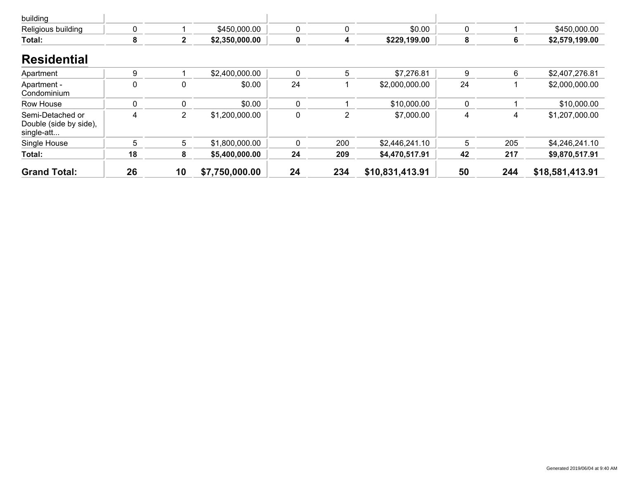| building                                                 |             |              |                |             |     |                 |    |     |                 |
|----------------------------------------------------------|-------------|--------------|----------------|-------------|-----|-----------------|----|-----|-----------------|
| Religious building                                       | 0           |              | \$450,000.00   | 0           | 0   | \$0.00          | 0  |     | \$450,000.00    |
| Total:                                                   | 8           | $\mathbf{2}$ | \$2,350,000.00 | $\mathbf 0$ | 4   | \$229,199.00    | 8  | 6   | \$2,579,199.00  |
| <b>Residential</b>                                       |             |              |                |             |     |                 |    |     |                 |
| Apartment                                                | 9           |              | \$2,400,000.00 | $\mathbf 0$ | 5   | \$7,276.81      | 9  | 6   | \$2,407,276.81  |
| Apartment -<br>Condominium                               | $\mathbf 0$ | 0            | \$0.00         | 24          |     | \$2,000,000.00  | 24 |     | \$2,000,000.00  |
| Row House                                                | 0           | 0            | \$0.00         | 0           |     | \$10,000.00     | 0  |     | \$10,000.00     |
| Semi-Detached or<br>Double (side by side),<br>single-att | 4           | 2            | \$1,200,000.00 | 0           | 2   | \$7,000.00      | 4  | 4   | \$1,207,000.00  |
| Single House                                             | 5           | 5            | \$1,800,000.00 | $\Omega$    | 200 | \$2,446,241.10  | 5  | 205 | \$4,246,241.10  |
| Total:                                                   | 18          | 8            | \$5,400,000.00 | 24          | 209 | \$4,470,517.91  | 42 | 217 | \$9,870,517.91  |
| <b>Grand Total:</b>                                      | 26          | 10           | \$7,750,000.00 | 24          | 234 | \$10,831,413.91 | 50 | 244 | \$18,581,413.91 |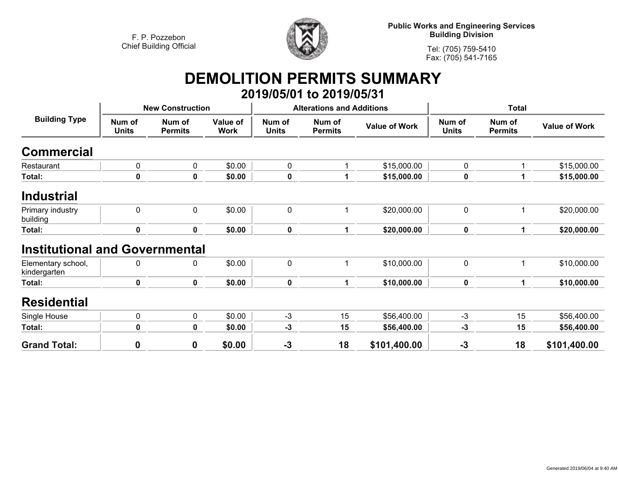

**Public Works and Engineering Services Building Division**

**Tel: (705) 759-5410 Fax: (705) 541-7165**

# **DEMOLITION PERMITS SUMMARY**

|                                       |                        |                          |                         |                        | 2019/05/01 to 2019/05/31         |                      |                        |                          |                      |
|---------------------------------------|------------------------|--------------------------|-------------------------|------------------------|----------------------------------|----------------------|------------------------|--------------------------|----------------------|
| <b>Building Type</b>                  |                        | <b>New Construction</b>  |                         |                        | <b>Alterations and Additions</b> |                      | <b>Total</b>           |                          |                      |
|                                       | Num of<br><b>Units</b> | Num of<br><b>Permits</b> | Value of<br><b>Work</b> | Num of<br><b>Units</b> | Num of<br><b>Permits</b>         | <b>Value of Work</b> | Num of<br><b>Units</b> | Num of<br><b>Permits</b> | <b>Value of Work</b> |
| Commercial                            |                        |                          |                         |                        |                                  |                      |                        |                          |                      |
| Restaurant                            | 0                      | 0                        | \$0.00                  | 0                      |                                  | \$15,000.00          | $\mathbf 0$            | 1                        | \$15,000.00          |
| Total:                                | 0                      | 0                        | \$0.00                  | $\pmb{0}$              | 1                                | \$15,000.00          | 0                      | 1                        | \$15,000.00          |
| <b>Industrial</b>                     |                        |                          |                         |                        |                                  |                      |                        |                          |                      |
| Primary industry<br>building          | 0                      | 0                        | \$0.00                  | $\mathbf 0$            | 1                                | \$20,000.00          | $\mathbf 0$            | 1                        | \$20,000.00          |
| Total:                                | $\mathbf 0$            | $\mathbf 0$              | \$0.00                  | $\pmb{0}$              | 1                                | \$20,000.00          | $\mathbf 0$            | 1                        | \$20,000.00          |
| <b>Institutional and Governmental</b> |                        |                          |                         |                        |                                  |                      |                        |                          |                      |
| Elementary school,<br>kindergarten    | 0                      | 0                        | \$0.00                  | $\pmb{0}$              | 1                                | \$10,000.00          | $\mathbf 0$            | 1                        | \$10,000.00          |
| Total:                                | 0                      | $\mathbf 0$              | \$0.00                  | $\pmb{0}$              | 1                                | \$10,000.00          | $\mathbf 0$            | 1                        | \$10,000.00          |
| <b>Residential</b>                    |                        |                          |                         |                        |                                  |                      |                        |                          |                      |
| Single House                          | 0                      | 0                        | \$0.00                  | $-3$                   | 15                               | \$56,400.00          | $-3$                   | 15                       | \$56,400.00          |
| Total:                                | 0                      | $\mathbf 0$              | \$0.00                  | $-3$                   | 15                               | \$56,400.00          | -3                     | 15                       | \$56,400.00          |
| <b>Grand Total:</b>                   | $\mathbf 0$            | 0                        | \$0.00                  | $-3$                   | 18                               | \$101,400.00         | $-3$                   | 18                       | \$101,400.00         |